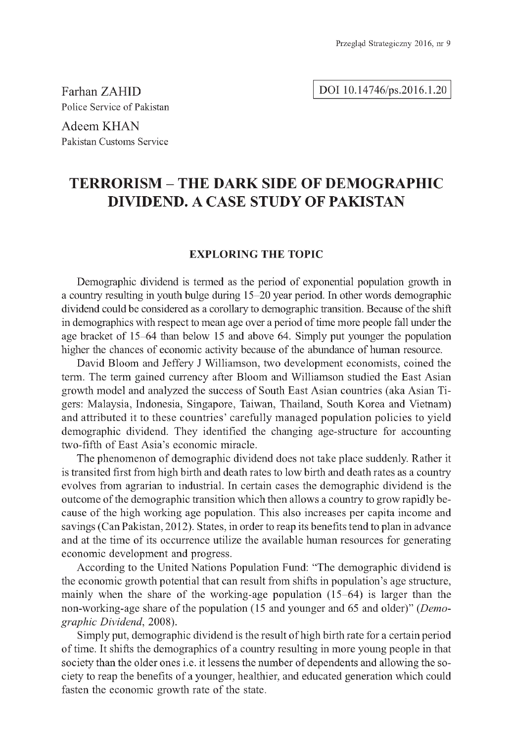Farhan ZAHID Police Service of Pakistan

Adeem KHAN Pakistan Customs Service

# **TERRORISM - THE DARK SIDE OF DEMOGRAPHIC DIVIDEND. A CASE STUDY OF PAKISTAN**

## **EXPLORING THE TOPIC**

Demographic dividend is termed as the period of exponential population growth in a country resulting in youth bulge during 15-20 year period. In other words demographic dividend could be considered as a corollary to demographic transition. Because of the shift in demographics with respect to mean age over a period of time more people fall under the age bracket of 15-64 than below 15 and above 64. Simply put younger the population higher the chances of economic activity because of the abundance of human resource.

David Bloom and Jeffery J Williamson, two development economists, coined the term. The term gained currency after Bloom and Williamson studied the East Asian growth model and analyzed the success of South East Asian countries (aka Asian Tigers: Malaysia, Indonesia, Singapore, Taiwan, Thailand, South Korea and Vietnam) and attributed it to these countries' carefully managed population policies to yield demographic dividend. They identified the changing age-structure for accounting two-fifth of East Asia's economic miracle.

The phenomenon of demographic dividend does not take place suddenly. Rather it is transited first from high birth and death rates to low birth and death rates as a country evolves from agrarian to industrial. In certain cases the demographic dividend is the outcome of the demographic transition which then allows a country to grow rapidly because of the high working age population. This also increases per capita income and savings (Can Pakistan, 2012). States, in order to reap its benefits tend to plan in advance and at the time of its occurrence utilize the available human resources for generating economic development and progress.

According to the United Nations Population Fund: "The demographic dividend is the economic growth potential that can result from shifts in population's age structure, mainly when the share of the working-age population (15-64) is larger than the non-working-age share of the population (15 and younger and 65 and older)" *(Demographic Dividend,* 2008).

Simply put, demographic dividend is the result of high birth rate for a certain period of time. It shifts the demographics of a country resulting in more young people in that society than the older ones i.e. it lessens the number of dependents and allowing the society to reap the benefits of a younger, healthier, and educated generation which could fasten the economic growth rate of the state.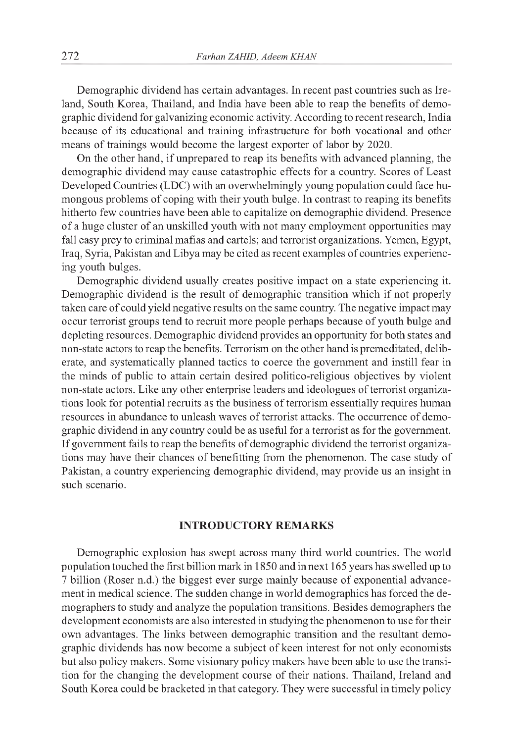Demographic dividend has certain advantages. In recent past countries such as Ireland, South Korea, Thailand, and India have been able to reap the benefits of demographic dividend for galvanizing economic activity. According to recent research, India because of its educational and training infrastructure for both vocational and other means of trainings would become the largest exporter of labor by 2020.

On the other hand, if unprepared to reap its benefits with advanced planning, the demographic dividend may cause catastrophic effects for a country. Scores of Least Developed Countries (LDC) with an overwhelmingly young population could face humongous problems of coping with their youth bulge. In contrast to reaping its benefits hitherto few countries have been able to capitalize on demographic dividend. Presence of a huge cluster of an unskilled youth with not many employment opportunities may fall easy prey to criminal mafias and cartels; and terrorist organizations. Yemen, Egypt, Iraq, Syria, Pakistan and Libya may be cited as recent examples of countries experiencing youth bulges.

Demographic dividend usually creates positive impact on a state experiencing it. Demographic dividend is the result of demographic transition which if not properly taken care of could yield negative results on the same country. The negative impact may occur terrorist groups tend to recruit more people perhaps because of youth bulge and depleting resources. Demographic dividend provides an opportunity for both states and non-state actors to reap the benefits. Terrorism on the other hand is premeditated, deliberate, and systematically planned tactics to coerce the government and instill fear in the minds of public to attain certain desired politico-religious objectives by violent non-state actors. Like any other enterprise leaders and ideologues of terrorist organizations look for potential recruits as the business of terrorism essentially requires human resources in abundance to unleash waves of terrorist attacks. The occurrence of demographic dividend in any country could be as useful for a terrorist as for the government. If government fails to reap the benefits of demographic dividend the terrorist organizations may have their chances of benefitting from the phenomenon. The case study of Pakistan, a country experiencing demographic dividend, may provide us an insight in such scenario.

### **INTRODUCTORY REMARKS**

Demographic explosion has swept across many third world countries. The world population touched the first billion mark in 1850 and in next 165 years has swelled up to 7 billion (Roser n.d.) the biggest ever surge mainly because of exponential advancement in medical science. The sudden change in world demographics has forced the demographers to study and analyze the population transitions. Besides demographers the development economists are also interested in studying the phenomenon to use for their own advantages. The links between demographic transition and the resultant demographic dividends has now become a subject of keen interest for not only economists but also policy makers. Some visionary policy makers have been able to use the transition for the changing the development course of their nations. Thailand, Ireland and South Korea could be bracketed in that category. They were successful in timely policy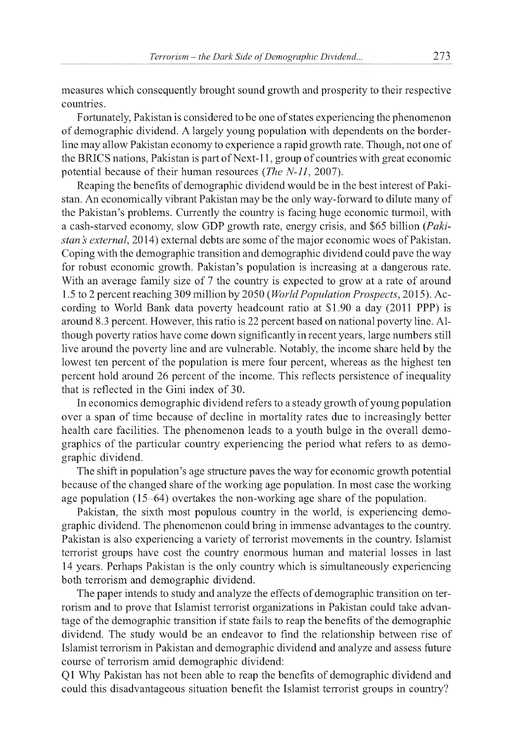measures which consequently brought sound growth and prosperity to their respective countries.

Fortunately, Pakistan is considered to be one of states experiencing the phenomenon of demographic dividend. A largely young population with dependents on the borderline may allow Pakistan economy to experience a rapid growth rate. Though, not one of the BRICS nations, Pakistan is part of Next-11, group of countries with great economic potential because of their human resources *(The N-11,* 2007).

Reaping the benefits of demographic dividend would be in the best interest of Pakistan. An economically vibrant Pakistan may be the only way-forward to dilute many of the Pakistan's problems. Currently the country is facing huge economic turmoil, with a cash-starved economy, slow GDP growth rate, energy crisis, and \$65 billion *(Pakistan s external,* 2014) external debts are some of the major economic woes of Pakistan. Coping with the demographic transition and demographic dividend could pave the way for robust economic growth. Pakistan's population is increasing at a dangerous rate. With an average family size of 7 the country is expected to grow at a rate of around 1.5 to 2 percent reaching 309 million by 2050 *(WorldPopulation Prospects,* 2015). According to World Bank data poverty headcount ratio at \$1.90 a day (2011 PPP) is around 8.3 percent. However, this ratio is 22 percent based on national poverty line. Although poverty ratios have come down significantly in recent years, large numbers still live around the poverty line and are vulnerable. Notably, the income share held by the lowest ten percent of the population is mere four percent, whereas as the highest ten percent hold around 26 percent of the income. This reflects persistence of inequality that is reflected in the Gini index of 30.

In economics demographic dividend refers to a steady growth of young population over a span of time because of decline in mortality rates due to increasingly better health care facilities. The phenomenon leads to a youth bulge in the overall demographics of the particular country experiencing the period what refers to as demographic dividend.

The shift in population's age structure paves the way for economic growth potential because of the changed share of the working age population. In most case the working age population (15-64) overtakes the non-working age share of the population.

Pakistan, the sixth most populous country in the world, is experiencing demographic dividend. The phenomenon could bring in immense advantages to the country. Pakistan is also experiencing a variety of terrorist movements in the country. Islamist terrorist groups have cost the country enormous human and material losses in last 14 years. Perhaps Pakistan is the only country which is simultaneously experiencing both terrorism and demographic dividend.

The paper intends to study and analyze the effects of demographic transition on terrorism and to prove that Islamist terrorist organizations in Pakistan could take advantage of the demographic transition if state fails to reap the benefits of the demographic dividend. The study would be an endeavor to find the relationship between rise of Islamist terrorism in Pakistan and demographic dividend and analyze and assess future course of terrorism amid demographic dividend:

Q1 Why Pakistan has not been able to reap the benefits of demographic dividend and could this disadvantageous situation benefit the Islamist terrorist groups in country?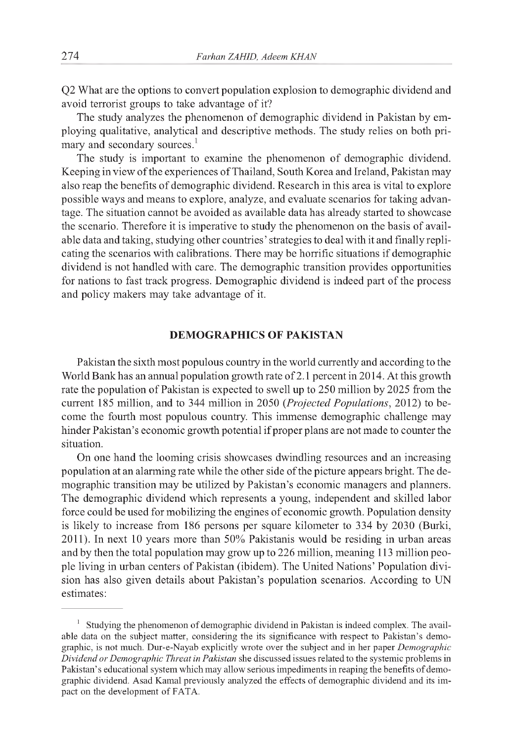Q2 What are the options to convert population explosion to demographic dividend and avoid terrorist groups to take advantage of it?

The study analyzes the phenomenon of demographic dividend in Pakistan by employing qualitative, analytical and descriptive methods. The study relies on both primary and secondary sources.<sup>1</sup>

The study is important to examine the phenomenon of demographic dividend. Keeping in view of the experiences of Thailand, South Korea and Ireland, Pakistan may also reap the benefits of demographic dividend. Research in this area is vital to explore possible ways and means to explore, analyze, and evaluate scenarios for taking advantage. The situation cannot be avoided as available data has already started to showcase the scenario. Therefore it is imperative to study the phenomenon on the basis of available data and taking, studying other countries' strategies to deal with it and finally replicating the scenarios with calibrations. There may be horrific situations if demographic dividend is not handled with care. The demographic transition provides opportunities for nations to fast track progress. Demographic dividend is indeed part of the process and policy makers may take advantage of it.

## **DEMOGRAPHICS OF PAKISTAN**

Pakistan the sixth most populous country in the world currently and according to the World Bank has an annual population growth rate of 2.1 percent in 2014. At this growth rate the population of Pakistan is expected to swell up to 250 million by 2025 from the current 185 million, and to 344 million in 2050 *(Projected Populations,* 2012) to become the fourth most populous country. This immense demographic challenge may hinder Pakistan's economic growth potential if proper plans are not made to counter the situation.

On one hand the looming crisis showcases dwindling resources and an increasing population at an alarming rate while the other side of the picture appears bright. The demographic transition may be utilized by Pakistan's economic managers and planners. The demographic dividend which represents a young, independent and skilled labor force could be used for mobilizing the engines of economic growth. Population density is likely to increase from 186 persons per square kilometer to 334 by 2030 (Burki, 2011). In next 10 years more than 50% Pakistanis would be residing in urban areas and by then the total population may grow up to 226 million, meaning 113 million people living in urban centers of Pakistan (ibidem). The United Nations' Population division has also given details about Pakistan's population scenarios. According to UN estimates:

 $1$  Studying the phenomenon of demographic dividend in Pakistan is indeed complex. The available data on the subject matter, considering the its significance with respect to Pakistan's demographic, is not much. Dur-e-Nayab explicitly wrote over the subject and in her paper *Demographic Dividend or Demographic Threat in Pakistan* she discussed issues related to the systemic problems in Pakistan's educational system which may allow serious impediments in reaping the benefits of demographic dividend. Asad Kamal previously analyzed the effects of demographic dividend and its impact on the development of FATA.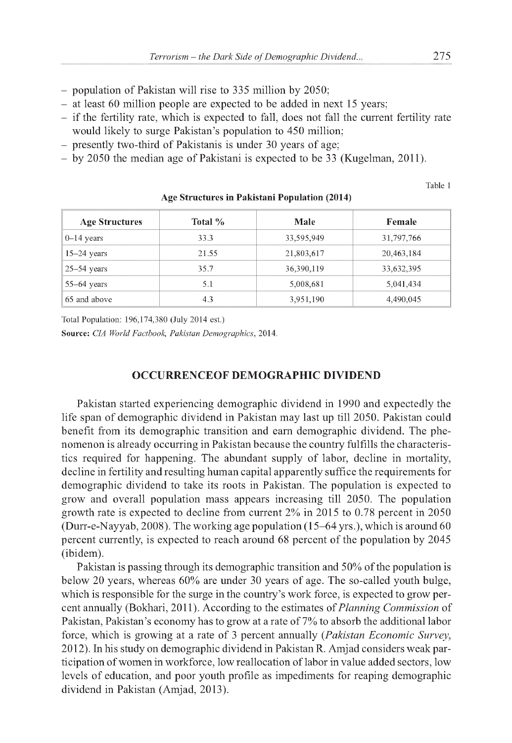- population of Pakistan will rise to 335 million by 2050;
- at least 60 million people are expected to be added in next 15 years;
- if the fertility rate, which is expected to fall, does not fall the current fertility rate would likely to surge Pakistan's population to 450 million;
- presently two-third of Pakistanis is under 30 years of age;
- by 2050 the median age of Pakistani is expected to be 33 (Kugelman, 2011).

Table 1

| <b>Age Structures</b> | Total % | Male       | Female     |
|-----------------------|---------|------------|------------|
| $0-14$ years          | 33.3    | 33,595,949 | 31,797,766 |
| $15-24$ years         | 21.55   | 21,803,617 | 20,463,184 |
| $25 - 54$ years       | 35.7    | 36,390,119 | 33,632,395 |
| $55-64$ years         | 5.1     | 5,008,681  | 5,041,434  |
| 65 and above          | 4.3     | 3,951,190  | 4,490,045  |

**Age Structures in Pakistani Population (2014)**

Total Population: 196,174,380 (July 2014 est.)

**Source:** *CIA World Factbook, Pakistan Demographics,* 2014.

# **OCCURRENCEOF DEMOGRAPHIC DIVIDEND**

Pakistan started experiencing demographic dividend in 1990 and expectedly the life span of demographic dividend in Pakistan may last up till 2050. Pakistan could benefit from its demographic transition and earn demographic dividend. The phenomenon is already occurring in Pakistan because the country fulfills the characteristics required for happening. The abundant supply of labor, decline in mortality, decline in fertility and resulting human capital apparently suffice the requirements for demographic dividend to take its roots in Pakistan. The population is expected to grow and overall population mass appears increasing till 2050. The population growth rate is expected to decline from current 2% in 2015 to 0.78 percent in 2050 (Durr-e-Nayyab, 2008). The working age population (15-64 yrs.), which is around 60 percent currently, is expected to reach around 68 percent of the population by 2045 (ibidem).

Pakistan is passing through its demographic transition and 50% of the population is below 20 years, whereas 60% are under 30 years of age. The so-called youth bulge, which is responsible for the surge in the country's work force, is expected to grow percent annually (Bokhari, 2011). According to the estimates of *Planning Commission* of Pakistan, Pakistan's economy has to grow at a rate of 7% to absorb the additional labor force, which is growing at a rate of 3 percent annually *(Pakistan Economic Survey,* 2012). In his study on demographic dividend in Pakistan R. Amjad considers weak participation of women in workforce, low reallocation of labor in value added sectors, low levels of education, and poor youth profile as impediments for reaping demographic dividend in Pakistan (Amjad, 2013).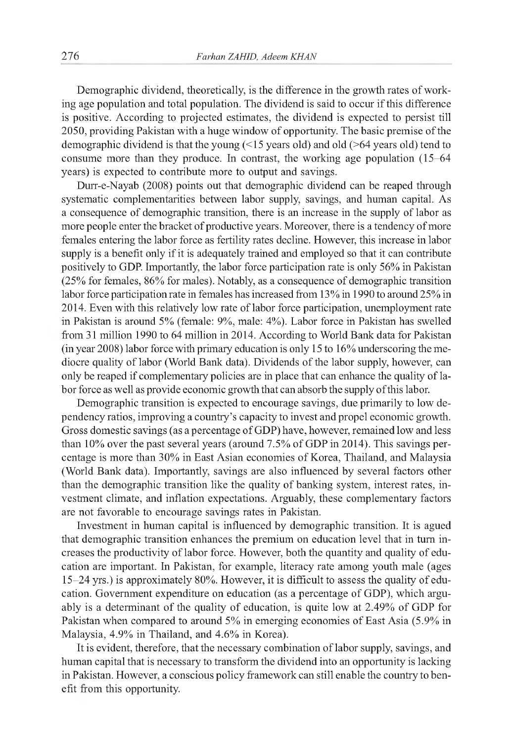Demographic dividend, theoretically, is the difference in the growth rates of working age population and total population. The dividend is said to occur if this difference is positive. According to projected estimates, the dividend is expected to persist till 2050, providing Pakistan with a huge window of opportunity. The basic premise of the demographic dividend is that the young (<15 years old) and old (>64 years old) tend to consume more than they produce. In contrast, the working age population (15-64 years) is expected to contribute more to output and savings.

Durr-e-Nayab (2008) points out that demographic dividend can be reaped through systematic complementarities between labor supply, savings, and human capital. As a consequence of demographic transition, there is an increase in the supply of labor as more people enter the bracket of productive years. Moreover, there is a tendency of more females entering the labor force as fertility rates decline. However, this increase in labor supply is a benefit only if it is adequately trained and employed so that it can contribute positively to GDP. Importantly, the labor force participation rate is only 56% in Pakistan (25% for females, 86% for males). Notably, as a consequence of demographic transition labor force participation rate in females has increased from 13% in 1990 to around 25% in 2014. Even with this relatively low rate of labor force participation, unemployment rate in Pakistan is around 5% (female: 9%, male: 4%). Labor force in Pakistan has swelled from 31 million 1990 to 64 million in 2014. According to World Bank data for Pakistan (in year 2008) labor force with primary education is only 15 to 16% underscoring the mediocre quality of labor (World Bank data). Dividends of the labor supply, however, can only be reaped if complementary policies are in place that can enhance the quality of labor force as well as provide economic growth that can absorb the supply of this labor.

Demographic transition is expected to encourage savings, due primarily to low dependency ratios, improving a country's capacity to invest and propel economic growth. Gross domestic savings (as a percentage of GDP) have, however, remained low and less than 10% over the past several years (around 7.5% of GDP in 2014). This savings percentage is more than 30% in East Asian economies of Korea, Thailand, and Malaysia (World Bank data). Importantly, savings are also influenced by several factors other than the demographic transition like the quality of banking system, interest rates, investment climate, and inflation expectations. Arguably, these complementary factors are not favorable to encourage savings rates in Pakistan.

Investment in human capital is influenced by demographic transition. It is agued that demographic transition enhances the premium on education level that in turn increases the productivity of labor force. However, both the quantity and quality of education are important. In Pakistan, for example, literacy rate among youth male (ages 15-24 yrs.) is approximately 80%. However, it is difficult to assess the quality of education. Government expenditure on education (as a percentage of GDP), which arguably is a determinant of the quality of education, is quite low at 2.49% of GDP for Pakistan when compared to around 5% in emerging economies of East Asia (5.9% in Malaysia, 4.9% in Thailand, and 4.6% in Korea).

It is evident, therefore, that the necessary combination of labor supply, savings, and human capital that is necessary to transform the dividend into an opportunity is lacking in Pakistan. However, a conscious policy framework can still enable the country to benefit from this opportunity.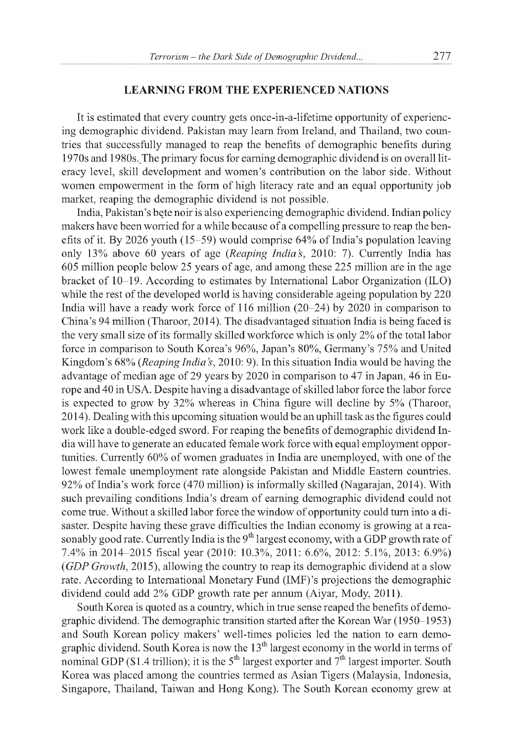#### **LEARNING FROM THE EXPERIENCED NATIONS**

It is estimated that every country gets once-in-a-lifetime opportunity of experiencing demographic dividend. Pakistan may learn from Ireland, and Thailand, two countries that successfully managed to reap the benefits of demographic benefits during 1970s and 1980s.\_The primary focus for earning demographic dividend is on overall literacy level, skill development and women's contribution on the labor side. Without women empowerment in the form of high literacy rate and an equal opportunity job market, reaping the demographic dividend is not possible.

India, Pakistan's bete noir is also experiencing demographic dividend. Indian policy makers have been worried for a while because of a compelling pressure to reap the benefits of it. By 2026 youth (15-59) would comprise 64% of India's population leaving only 13% above 60 years of age *(Reaping India's,* 2010: 7). Currently India has 605 million people below 25 years of age, and among these 225 million are in the age bracket of 10-19. According to estimates by International Labor Organization (ILO) while the rest of the developed world is having considerable ageing population by 220 India will have a ready work force of 116 million (20-24) by 2020 in comparison to China's 94 million (Tharoor, 2014). The disadvantaged situation India is being faced is the very small size of its formally skilled workforce which is only 2% of the total labor force in comparison to South Korea's 96%, Japan's 80%, Germany's 75% and United Kingdom's 68% *(Reaping India s,* 2010: 9). In this situation India would be having the advantage of median age of 29 years by 2020 in comparison to 47 in Japan, 46 in Europe and 40 in USA. Despite having a disadvantage of skilled labor force the labor force is expected to grow by 32% whereas in China figure will decline by 5% (Tharoor, 2014). Dealing with this upcoming situation would be an uphill task as the figures could work like a double-edged sword. For reaping the benefits of demographic dividend India will have to generate an educated female work force with equal employment opportunities. Currently 60% of women graduates in India are unemployed, with one of the lowest female unemployment rate alongside Pakistan and Middle Eastern countries. 92% of India's work force (470 million) is informally skilled (Nagarajan, 2014). With such prevailing conditions India's dream of earning demographic dividend could not come true. Without a skilled labor force the window of opportunity could turn into a disaster. Despite having these grave difficulties the Indian economy is growing at a reasonably good rate. Currently India is the  $9<sup>th</sup>$  largest economy, with a GDP growth rate of 7.4% in 2014-2015 fiscal year (2010: 10.3%, 2011: 6.6%, 2012: 5.1%, 2013: 6.9%) *(GDP Growth,* 2015), allowing the country to reap its demographic dividend at a slow rate. According to International Monetary Fund (IMF)'s projections the demographic dividend could add 2% GDP growth rate per annum (Aiyar, Mody, 2011).

South Korea is quoted as a country, which in true sense reaped the benefits of demographic dividend. The demographic transition started after the Korean War (1950-1953) and South Korean policy makers' well-times policies led the nation to earn demographic dividend. South Korea is now the  $13<sup>th</sup>$  largest economy in the world in terms of nominal GDP (\$1.4 trillion); it is the  $5<sup>th</sup>$  largest exporter and  $7<sup>th</sup>$  largest importer. South Korea was placed among the countries termed as Asian Tigers (Malaysia, Indonesia, Singapore, Thailand, Taiwan and Hong Kong). The South Korean economy grew at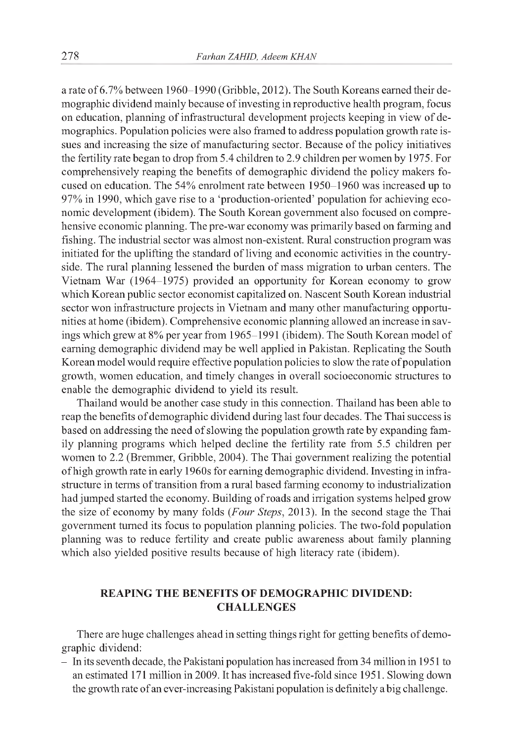a rate of 6.7% between 1960-1990 (Gribble, 2012). The South Koreans earned their demographic dividend mainly because of investing in reproductive health program, focus on education, planning of infrastructural development projects keeping in view of demographics. Population policies were also framed to address population growth rate issues and increasing the size of manufacturing sector. Because of the policy initiatives the fertility rate began to drop from 5.4 children to 2.9 children per women by 1975. For comprehensively reaping the benefits of demographic dividend the policy makers focused on education. The 54% enrolment rate between 1950-1960 was increased up to 97% in 1990, which gave rise to a 'production-oriented' population for achieving economic development (ibidem). The South Korean government also focused on comprehensive economic planning. The pre-war economy was primarily based on farming and fishing. The industrial sector was almost non-existent. Rural construction program was initiated for the uplifting the standard of living and economic activities in the countryside. The rural planning lessened the burden of mass migration to urban centers. The Vietnam War (1964-1975) provided an opportunity for Korean economy to grow which Korean public sector economist capitalized on. Nascent South Korean industrial sector won infrastructure projects in Vietnam and many other manufacturing opportunities at home (ibidem). Comprehensive economic planning allowed an increase in savings which grew at 8% per year from 1965-1991 (ibidem). The South Korean model of earning demographic dividend may be well applied in Pakistan. Replicating the South Korean model would require effective population policies to slow the rate of population growth, women education, and timely changes in overall socioeconomic structures to enable the demographic dividend to yield its result.

Thailand would be another case study in this connection. Thailand has been able to reap the benefits of demographic dividend during last four decades. The Thai success is based on addressing the need of slowing the population growth rate by expanding family planning programs which helped decline the fertility rate from 5.5 children per women to 2.2 (Bremmer, Gribble, 2004). The Thai government realizing the potential of high growth rate in early 1960s for earning demographic dividend. Investing in infrastructure in terms of transition from a rural based farming economy to industrialization had jumped started the economy. Building of roads and irrigation systems helped grow the size of economy by many folds *(Four Steps,* 2013). In the second stage the Thai government turned its focus to population planning policies. The two-fold population planning was to reduce fertility and create public awareness about family planning which also yielded positive results because of high literacy rate (ibidem).

# **REAPING THE BENEFITS OF DEMOGRAPHIC DIVIDEND: CHALLENGES**

There are huge challenges ahead in setting things right for getting benefits of demographic dividend:

- In its seventh decade, the Pakistani population has increased from 34 million in 1951 to an estimated 171 million in 2009. It has increased five-fold since 1951. Slowing down the growth rate of an ever-increasing Pakistani population is definitely a big challenge.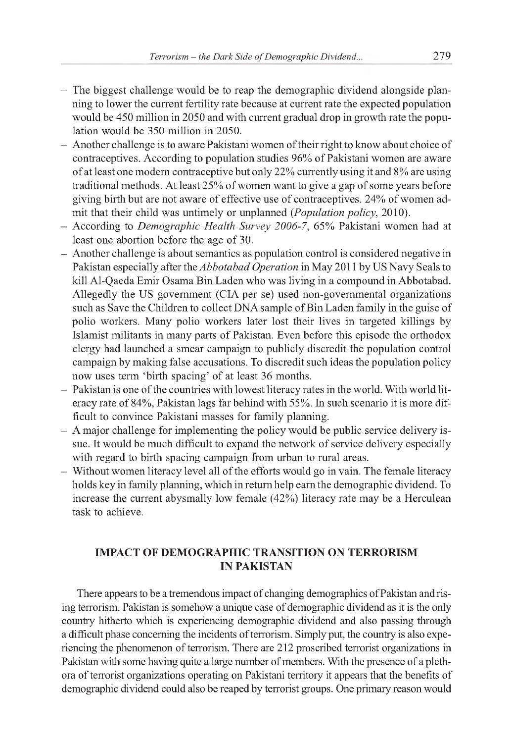- The biggest challenge would be to reap the demographic dividend alongside planning to lower the current fertility rate because at current rate the expected population would be 450 million in 2050 and with current gradual drop in growth rate the population would be 350 million in 2050.
- Another challenge is to aware Pakistani women of their right to know about choice of contraceptives. According to population studies 96% of Pakistani women are aware of at least one modern contraceptive but only 22% currently using it and 8% are using traditional methods. At least 25% of women want to give a gap of some years before giving birth but are not aware of effective use of contraceptives. 24% of women admit that their child was untimely or unplanned *(Population policy,* 2010).
- According to *Demographic Health Survey 2006-7,* 65% Pakistani women had at least one abortion before the age of 30.
- Another challenge is about semantics as population control is considered negative in Pakistan especially after the *Abbotabad Operation* in May 2011 by US Navy Seals to kill Al-Qaeda Emir Osama Bin Laden who was living in a compound in Abbotabad. Allegedly the US government (CIA per se) used non-governmental organizations such as Save the Children to collect DNA sample of Bin Laden family in the guise of polio workers. Many polio workers later lost their lives in targeted killings by Islamist militants in many parts of Pakistan. Even before this episode the orthodox clergy had launched a smear campaign to publicly discredit the population control campaign by making false accusations. To discredit such ideas the population policy now uses term 'birth spacing' of at least 36 months.
- Pakistan is one of the countries with lowest literacy rates in the world. With world literacy rate of 84%, Pakistan lags far behind with 55%. In such scenario it is more difficult to convince Pakistani masses for family planning.
- A major challenge for implementing the policy would be public service delivery issue. It would be much difficult to expand the network of service delivery especially with regard to birth spacing campaign from urban to rural areas.
- Without women literacy level all of the efforts would go in vain. The female literacy holds key in family planning, which in return help earn the demographic dividend. To increase the current abysmally low female (42%) literacy rate may be a Herculean task to achieve.

# **IMPACT OF DEMOGRAPHIC TRANSITION ON TERRORISM IN PAKISTAN**

There appears to be a tremendous impact of changing demographics of Pakistan and rising terrorism. Pakistan is somehow a unique case of demographic dividend as it is the only country hitherto which is experiencing demographic dividend and also passing through a difficult phase concerning the incidents of terrorism. Simply put, the country is also experiencing the phenomenon of terrorism. There are 212 proscribed terrorist organizations in Pakistan with some having quite a large number of members. With the presence of a plethora of terrorist organizations operating on Pakistani territory it appears that the benefits of demographic dividend could also be reaped by terrorist groups. One primary reason would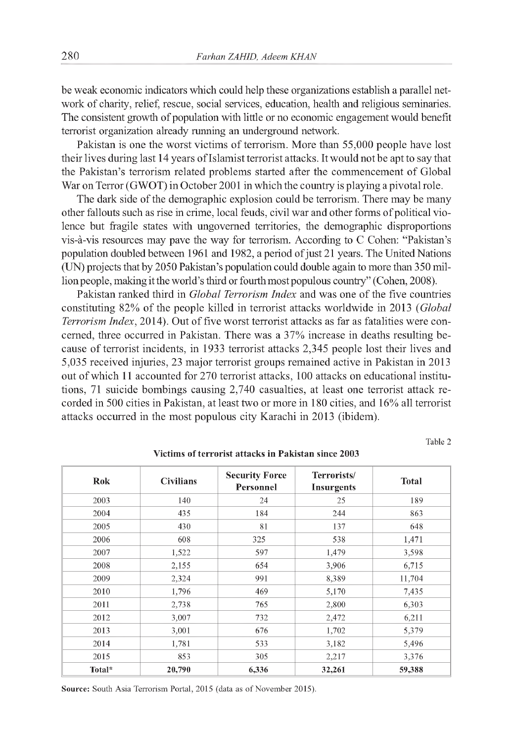be weak economic indicators which could help these organizations establish a parallel network of charity, relief, rescue, social services, education, health and religious seminaries. The consistent growth of population with little or no economic engagement would benefit terrorist organization already running an underground network.

Pakistan is one the worst victims of terrorism. More than 55,000 people have lost their lives during last 14 years of Islamist terrorist attacks. It would not be apt to say that the Pakistan's terrorism related problems started after the commencement of Global War on Terror (GWOT) in October 2001 in which the country is playing a pivotal role.

The dark side of the demographic explosion could be terrorism. There may be many other fallouts such as rise in crime, local feuds, civil war and other forms of political violence but fragile states with ungoverned territories, the demographic disproportions vis-à-vis resources may pave the way for terrorism. According to C Cohen: "Pakistan's population doubled between 1961 and 1982, a period of just 21 years. The United Nations (UN) projects that by 2050 Pakistan's population could double again to more than 350 million people, making it the world's third or fourth most populous country" (Cohen, 2008).

Pakistan ranked third in *Global Terrorism Index* and was one of the five countries constituting 82% of the people killed in terrorist attacks worldwide in 2013 *(Global Terrorism Index,* 2014). Out of five worst terrorist attacks as far as fatalities were concerned, three occurred in Pakistan. There was a 37% increase in deaths resulting because of terrorist incidents, in 1933 terrorist attacks 2,345 people lost their lives and 5,035 received injuries, 23 major terrorist groups remained active in Pakistan in 2013 out of which 11 accounted for 270 terrorist attacks, 100 attacks on educational institutions, 71 suicide bombings causing 2,740 casualties, at least one terrorist attack recorded in 500 cities in Pakistan, at least two or more in 180 cities, and 16% all terrorist attacks occurred in the most populous city Karachi in 2013 (ibidem).

Table 2

| <b>Rok</b> | <b>Civilians</b> | <b>Security Force</b><br>Personnel | Terrorists/<br><b>Insurgents</b> | <b>Total</b> |
|------------|------------------|------------------------------------|----------------------------------|--------------|
| 2003       | 140              | 24                                 | 25                               | 189          |
| 2004       | 435              | 184                                | 244                              | 863          |
| 2005       | 430              | 81                                 | 137                              | 648          |
| 2006       | 608              | 325                                | 538                              | 1,471        |
| 2007       | 1,522            | 597                                | 1,479                            | 3,598        |
| 2008       | 2,155            | 654                                | 3,906                            | 6,715        |
| 2009       | 2,324            | 991                                | 8,389                            | 11,704       |
| 2010       | 1,796            | 469                                | 5,170                            | 7,435        |
| 2011       | 2,738            | 765                                | 2,800                            | 6,303        |
| 2012       | 3,007            | 732                                | 2,472                            | 6,211        |
| 2013       | 3,001            | 676                                | 1,702                            | 5,379        |
| 2014       | 1,781            | 533                                | 3,182                            | 5,496        |
| 2015       | 853              | 305                                | 2,217                            | 3,376        |
| Total*     | 20,790           | 6,336                              | 32,261                           | 59,388       |

**Victims of terrorist attacks in Pakistan since 2003**

**Source:** South Asia Terrorism Portal, 2015 (data as of November 2015).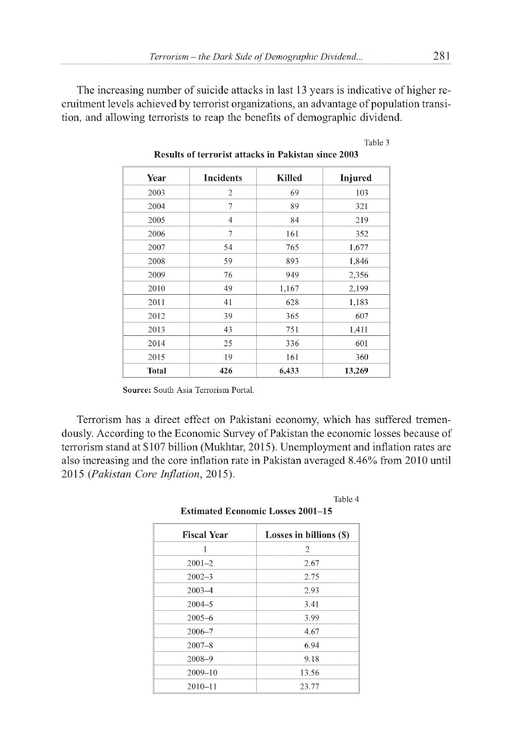The increasing number of suicide attacks in last 13 years is indicative of higher recruitment levels achieved by terrorist organizations, an advantage of population transition, and allowing terrorists to reap the benefits of demographic dividend.

| Year         | <b>Incidents</b> | <b>Killed</b> | Injured |
|--------------|------------------|---------------|---------|
| 2003         | 2                | 69            | 103     |
| 2004         | 7                | 89            | 321     |
| 2005         | 4                | 84            | 219     |
| 2006         | 7                | 161           | 352     |
| 2007         | 54               | 765           | 1,677   |
| 2008         | 59               | 893           | 1,846   |
| 2009         | 76               | 949           | 2,356   |
| 2010         | 49               | 1,167         | 2,199   |
| 2011         | 41               | 628           | 1,183   |
| 2012         | 39               | 365           | 607     |
| 2013         | 43               | 751           | 1,411   |
| 2014         | 25               | 336           | 601     |
| 2015         | 19               | 161           | 360     |
| <b>Total</b> | 426              | 6,433         | 13,269  |

**Results of terrorist attacks in Pakistan since 2003**

**Source:** South Asia Terrorism Portal.

Terrorism has a direct effect on Pakistani economy, which has suffered tremendously. According to the Economic Survey of Pakistan the economic losses because of terrorism stand at \$107 billion (Mukhtar, 2015). Unemployment and inflation rates are also increasing and the core inflation rate in Pakistan averaged 8.46% from 2010 until 2015 *(Pakistan Core Inflation,* 2015).

> **Estimated Economic Losses 2001-15 Fiscal Year Losses in billions (\$)** 1 2 2001-2 2.67 2002-3 2.75 2003-4 2.93 2004-5 3.41 2005-6 3.99

> > 2006-7 4.67 2007-8 6.94 2008-9 9.18 2009-10 13.56 2010-11 23.77

|--|

Table 3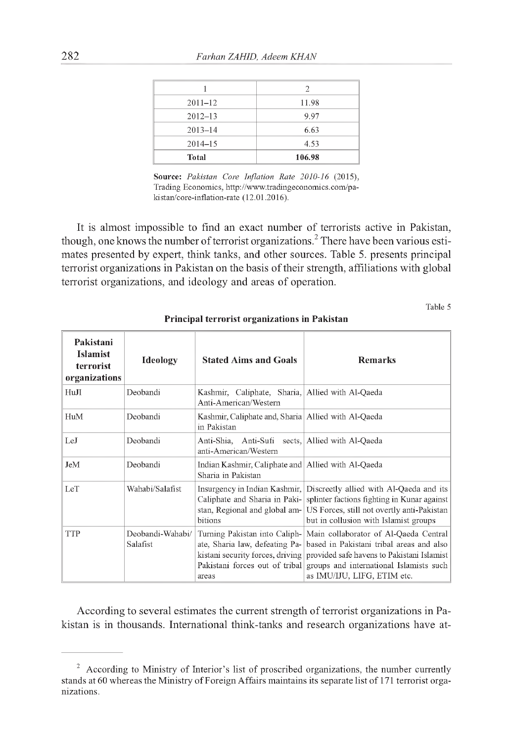|              | 2      |
|--------------|--------|
| $2011 - 12$  | 11.98  |
| $2012 - 13$  | 9.97   |
| $2013 - 14$  | 6.63   |
| $2014 - 15$  | 4.53   |
| <b>Total</b> | 106.98 |

**Source:** *Pakistan Core Inflation Rate 2010-16* (2015), Trading Economics, [http://www.tradingeconomics.com/pa](http://www.tradingeconomics.com/pa-)kistan/core-inflation-rate (12.01.2016).

It is almost impossible to find an exact number of terrorists active in Pakistan, though, one knows the number of terrorist organizations.<sup>2</sup> There have been various estimates presented by expert, think tanks, and other sources. Table 5. presents principal terrorist organizations in Pakistan on the basis of their strength, affiliations with global terrorist organizations, and ideology and areas of operation.

Table 5

| Pakistani<br><b>Islamist</b><br>terrorist<br>organizations | <b>Ideology</b>              | <b>Stated Aims and Goals</b>                                                                               | <b>Remarks</b>                                                                                                                                                                                                                                                            |
|------------------------------------------------------------|------------------------------|------------------------------------------------------------------------------------------------------------|---------------------------------------------------------------------------------------------------------------------------------------------------------------------------------------------------------------------------------------------------------------------------|
| HuJI                                                       | Deobandi                     | Kashmir, Caliphate, Sharia, Allied with Al-Qaeda<br>Anti-American/Western                                  |                                                                                                                                                                                                                                                                           |
| HuM                                                        | Deobandi                     | Kashmir, Caliphate and, Sharia   Allied with Al-Qaeda<br>in Pakistan                                       |                                                                                                                                                                                                                                                                           |
| LeJ                                                        | Deobandi                     | Anti-Shia, Anti-Sufi sects, Allied with Al-Qaeda<br>anti-American/Western                                  |                                                                                                                                                                                                                                                                           |
| JeM                                                        | Deobandi                     | Indian Kashmir, Caliphate and Allied with Al-Qaeda<br>Sharia in Pakistan                                   |                                                                                                                                                                                                                                                                           |
| LeT                                                        | Wahabi/Salafist              | Insurgency in Indian Kashmir,<br>Caliphate and Sharia in Paki-<br>stan, Regional and global am-<br>bitions | Discreetly allied with Al-Qaeda and its<br>splinter factions fighting in Kunar against<br>US Forces, still not overtly anti-Pakistan<br>but in collusion with Islamist groups                                                                                             |
| TTP                                                        | Deobandi-Wahabi/<br>Salafist | Turning Pakistan into Caliph-<br>ate, Sharia law, defeating Pa-<br>areas                                   | Main collaborator of Al-Qaeda Central<br>based in Pakistani tribal areas and also<br>kistani security forces, driving provided safe havens to Pakistani Islamist<br>Pakistani forces out of tribal groups and international Islamists such<br>as IMU/IJU, LIFG, ETIM etc. |

**Principal terrorist organizations in Pakistan**

According to several estimates the current strength of terrorist organizations in Pakistan is in thousands. International think-tanks and research organizations have at-

 $2$  According to Ministry of Interior's list of proscribed organizations, the number currently stands at 60 whereas the Ministry of Foreign Affairs maintains its separate list of 171 terrorist organizations.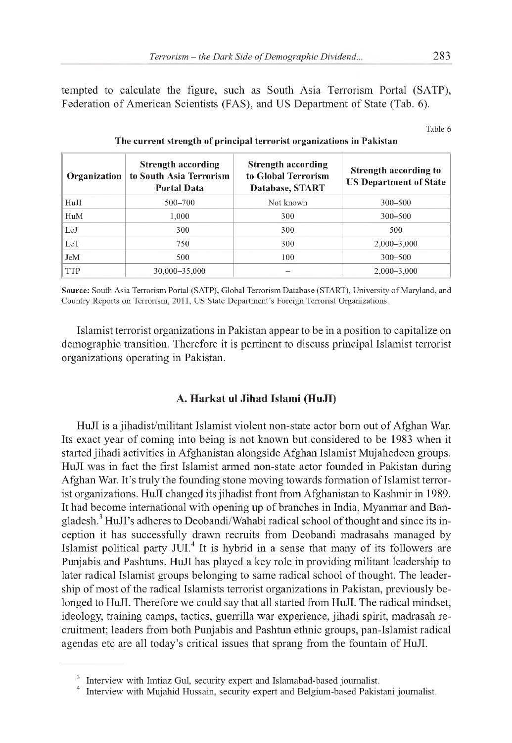tempted to calculate the figure, such as South Asia Terrorism Portal (SATP), Federation of American Scientists (FAS), and US Department of State (Tab. 6).

Table 6

| Organization | Strength according<br>to South Asia Terrorism<br><b>Portal Data</b> | Strength according<br>to Global Terrorism<br>Database, START | Strength according to<br><b>US Department of State</b> |
|--------------|---------------------------------------------------------------------|--------------------------------------------------------------|--------------------------------------------------------|
| HuJI         | $500 - 700$                                                         | Not known                                                    | $300 - 500$                                            |
| HuM          | $1.000\,$                                                           | 300                                                          | $300 - 500$                                            |
| LeJ          | 300                                                                 | 300                                                          | 500                                                    |
| LeT          | 750                                                                 | 300                                                          | $2,000 - 3,000$                                        |
| JeM          | 500                                                                 | 100                                                          | $300 - 500$                                            |
| <b>TTP</b>   | 30,000-35,000                                                       |                                                              | $2,000 - 3,000$                                        |

#### **The current strength of principal terrorist organizations in Pakistan**

**Source:** South Asia Terrorism Portal (SATP), Global Terrorism Database (START), University of Maryland, and Country Reports on Terrorism, 2011, US State Department's Foreign Terrorist Organizations.

Islamist terrorist organizations in Pakistan appear to be in a position to capitalize on demographic transition. Therefore it is pertinent to discuss principal Islamist terrorist organizations operating in Pakistan.

## **A. Harkat ul Jihad Islami (HuJI)**

HuJI is a jihadist/militant Islamist violent non-state actor born out of Afghan War. Its exact year of coming into being is not known but considered to be 1983 when it started jihadi activities in Afghanistan alongside Afghan Islamist Mujahedeen groups. HuJI was in fact the first Islamist armed non-state actor founded in Pakistan during Afghan War. It's truly the founding stone moving towards formation of Islamist terrorist organizations. HuJI changed its jihadist front from Afghanistan to Kashmir in 1989. It had become international with opening up of branches in India, Myanmar and Bangladesh.<sup>3</sup> HuJI's adheres to Deobandi/Wahabi radical school of thought and since its inception it has successfully drawn recruits from Deobandi madrasahs managed by Islamist political party JUI.<sup>4</sup> It is hybrid in a sense that many of its followers are Punjabis and Pashtuns. HuJI has played a key role in providing militant leadership to later radical Islamist groups belonging to same radical school of thought. The leadership of most of the radical Islamists terrorist organizations in Pakistan, previously belonged to HuJI. Therefore we could say that all started from HuJI. The radical mindset, ideology, training camps, tactics, guerrilla war experience, jihadi spirit, madrasah recruitment; leaders from both Punjabis and Pashtun ethnic groups, pan-Islamist radical agendas etc are all today's critical issues that sprang from the fountain of HuJI.

<sup>&</sup>lt;sup>3</sup> Interview with Imtiaz Gul, security expert and Islamabad-based journalist.

<sup>&</sup>lt;sup>4</sup> Interview with Mujahid Hussain, security expert and Belgium-based Pakistani journalist.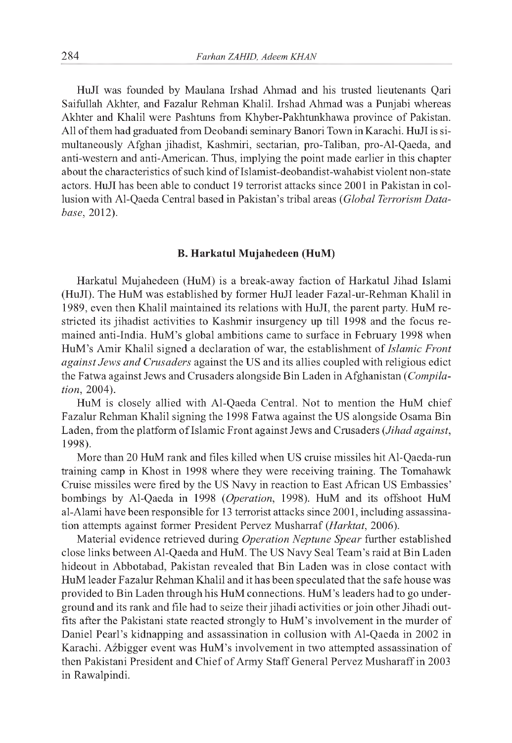HuJI was founded by Maulana Irshad Ahmad and his trusted lieutenants Qari Saifullah Akhter, and Fazalur Rehman Khalil. Irshad Ahmad was a Punjabi whereas Akhter and Khalil were Pashtuns from Khyber-Pakhtunkhawa province of Pakistan. All of them had graduated from Deobandi seminary Banori Town in Karachi. HuJI is simultaneously Afghan jihadist, Kashmiri, sectarian, pro-Taliban, pro-Al-Qaeda, and anti-western and anti-American. Thus, implying the point made earlier in this chapter about the characteristics of such kind of Islamist-deobandist-wahabist violent non-state actors. HuJI has been able to conduct 19 terrorist attacks since 2001 in Pakistan in collusion with Al-Qaeda Central based in Pakistan's tribal areas *(Global Terrorism Database,* 2012).

#### **B. Harkatul Mujahedeen (HuM)**

Harkatul Mujahedeen (HuM) is a break-away faction of Harkatul Jihad Islami (HuJI). The HuM was established by former HuJI leader Fazal-ur-Rehman Khalil in 1989, even then Khalil maintained its relations with HuJI, the parent party. HuM restricted its jihadist activities to Kashmir insurgency up till 1998 and the focus remained anti-India. HuM's global ambitions came to surface in February 1998 when HuM's Amir Khalil signed a declaration of war, the establishment of *Islamic Front against Jews and Crusaders* against the US and its allies coupled with religious edict the Fatwa against Jews and Crusaders alongside Bin Laden in Afghanistan *(Compilation,* 2004).

HuM is closely allied with Al-Qaeda Central. Not to mention the HuM chief Fazalur Rehman Khalil signing the 1998 Fatwa against the US alongside Osama Bin Laden, from the platform of Islamic Front against Jews and Crusaders *(Jihad against,* 1998).

More than 20 HuM rank and files killed when US cruise missiles hit Al-Qaeda-run training camp in Khost in 1998 where they were receiving training. The Tomahawk Cruise missiles were fired by the US Navy in reaction to East African US Embassies' bombings by Al-Qaeda in 1998 *(Operation,* 1998). HuM and its offshoot HuM al-Alami have been responsible for 13 terrorist attacks since 2001, including assassination attempts against former President Pervez Musharraf *(Harktat,* 2006).

Material evidence retrieved during *Operation Neptune Spear* further established close links between Al-Qaeda and HuM. The US Navy Seal Team's raid at Bin Laden hideout in Abbotabad, Pakistan revealed that Bin Laden was in close contact with HuM leader Fazalur Rehman Khalil and it has been speculated that the safe house was provided to Bin Laden through his HuM connections. HuM's leaders had to go underground and its rank and file had to seize their jihadi activities or join other Jihadi outfits after the Pakistani state reacted strongly to HuM's involvement in the murder of Daniel Pearl's kidnapping and assassination in collusion with Al-Qaeda in 2002 in Karachi. Azbigger event was HuM's involvement in two attempted assassination of then Pakistani President and Chief of Army Staff General Pervez Musharaff in 2003 in Rawalpindi.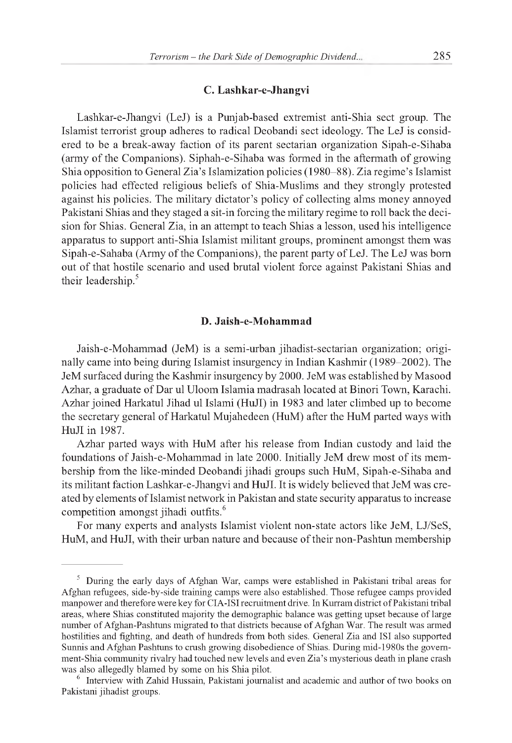## **C. Lashkar-e-Jhangvi**

Lashkar-e-Jhangvi (LeJ) is a Punjab-based extremist anti-Shia sect group. The Islamist terrorist group adheres to radical Deobandi sect ideology. The LeJ is considered to be a break-away faction of its parent sectarian organization Sipah-e-Sihaba (army of the Companions). Siphah-e-Sihaba was formed in the aftermath of growing Shia opposition to General Zia's Islamization policies (1980-88). Zia regime's Islamist policies had effected religious beliefs of Shia-Muslims and they strongly protested against his policies. The military dictator's policy of collecting alms money annoyed Pakistani Shias and they staged a sit-in forcing the military regime to roll back the decision for Shias. General Zia, in an attempt to teach Shias a lesson, used his intelligence apparatus to support anti-Shia Islamist militant groups, prominent amongst them was Sipah-e-Sahaba (Army of the Companions), the parent party of LeJ. The LeJ was born out of that hostile scenario and used brutal violent force against Pakistani Shias and their leadership.<sup>5</sup>

## **D. Jaish-e-Mohammad**

Jaish-e-Mohammad (JeM) is a semi-urban jihadist-sectarian organization; originally came into being during Islamist insurgency in Indian Kashmir (1989-2002). The JeM surfaced during the Kashmir insurgency by 2000. JeM was established by Masood Azhar, a graduate of Dar ul Uloom Islamia madrasah located at Binori Town, Karachi. Azhar joined Harkatul Jihad ul Islami (HuJI) in 1983 and later climbed up to become the secretary general of Harkatul Mujahedeen (HuM) after the HuM parted ways with HuJI in 1987.

Azhar parted ways with HuM after his release from Indian custody and laid the foundations of Jaish-e-Mohammad in late 2000. Initially JeM drew most of its membership from the like-minded Deobandi jihadi groups such HuM, Sipah-e-Sihaba and its militant faction Lashkar-e-Jhangvi and HuJI. It is widely believed that JeM was created by elements of Islamist network in Pakistan and state security apparatus to increase competition amongst jihadi outfits.<sup>6</sup>

For many experts and analysts Islamist violent non-state actors like JeM, LJ/SeS, HuM, and HuJI, with their urban nature and because of their non-Pashtun membership

<sup>5</sup> During the early days of Afghan War, camps were established in Pakistani tribal areas for Afghan refugees, side-by-side training camps were also established. Those refugee camps provided manpower and therefore were key for CIA-ISI recruitment drive. In Kurram district of Pakistani tribal areas, where Shias constituted majority the demographic balance was getting upset because of large number of Afghan-Pashtuns migrated to that districts because of Afghan War. The result was armed hostilities and fighting, and death of hundreds from both sides. General Zia and ISI also supported Sunnis and Afghan Pashtuns to crush growing disobedience of Shias. During mid-1980s the government-Shia community rivalry had touched new levels and even Zia's mysterious death in plane crash was also allegedly blamed by some on his Shia pilot.

<sup>&</sup>lt;sup>6</sup> Interview with Zahid Hussain, Pakistani journalist and academic and author of two books on Pakistani jihadist groups.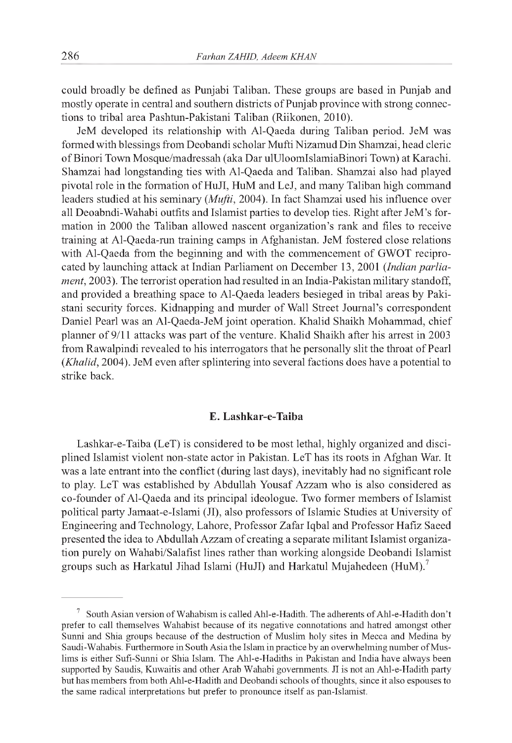could broadly be defined as Punjabi Taliban. These groups are based in Punjab and mostly operate in central and southern districts of Punjab province with strong connections to tribal area Pashtun-Pakistani Taliban (Riikonen, 2010).

JeM developed its relationship with Al-Qaeda during Taliban period. JeM was formed with blessings from Deobandi scholar Mufti Nizamud Din Shamzai, head cleric of Binori Town Mosque/madressah (aka Dar ulUloomIslamiaBinori Town) at Karachi. Shamzai had longstanding ties with Al-Qaeda and Taliban. Shamzai also had played pivotal role in the formation of HuJI, HuM and LeJ, and many Taliban high command leaders studied at his seminary *(Mufti,* 2004). In fact Shamzai used his influence over all Deoabndi-Wahabi outfits and Islamist parties to develop ties. Right after JeM's formation in 2000 the Taliban allowed nascent organization's rank and files to receive training at Al-Qaeda-run training camps in Afghanistan. JeM fostered close relations with Al-Qaeda from the beginning and with the commencement of GWOT reciprocated by launching attack at Indian Parliament on December 13, 2001 *(Indian parliament,* 2003). The terrorist operation had resulted in an India-Pakistan military standoff, and provided a breathing space to Al-Qaeda leaders besieged in tribal areas by Pakistani security forces. Kidnapping and murder of Wall Street Journal's correspondent Daniel Pearl was an Al-Qaeda-JeM joint operation. Khalid Shaikh Mohammad, chief planner of 9/11 attacks was part of the venture. Khalid Shaikh after his arrest in 2003 from Rawalpindi revealed to his interrogators that he personally slit the throat of Pearl *(Khalid,* 2004). JeM even after splintering into several factions does have a potential to strike back.

### **E. Lashkar-e-Taiba**

Lashkar-e-Taiba (LeT) is considered to be most lethal, highly organized and disciplined Islamist violent non-state actor in Pakistan. LeT has its roots in Afghan War. It was a late entrant into the conflict (during last days), inevitably had no significant role to play. LeT was established by Abdullah Yousaf Azzam who is also considered as co-founder of Al-Qaeda and its principal ideologue. Two former members of Islamist political party Jamaat-e-Islami (JI), also professors of Islamic Studies at University of Engineering and Technology, Lahore, Professor Zafar Iqbal and Professor Hafiz Saeed presented the idea to Abdullah Azzam of creating a separate militant Islamist organization purely on Wahabi/Salafist lines rather than working alongside Deobandi Islamist groups such as Harkatul Jihad Islami (HuJI) and Harkatul Mujahedeen (HuM).<sup>7</sup>

 $7$  South Asian version of Wahabism is called Ahl-e-Hadith. The adherents of Ahl-e-Hadith don't prefer to call themselves Wahabist because of its negative connotations and hatred amongst other Sunni and Shia groups because of the destruction of Muslim holy sites in Mecca and Medina by Saudi-Wahabis. Furthermore in South Asia the Islam in practice by an overwhelming number of Muslims is either Sufi-Sunni or Shia Islam. The Ahl-e-Hadiths in Pakistan and India have always been supported by Saudis, Kuwaitis and other Arab Wahabi governments. JI is not an Ahl-e-Hadith party but has members from both Ahl-e-Hadith and Deobandi schools of thoughts, since it also espouses to the same radical interpretations but prefer to pronounce itself as pan-Islamist.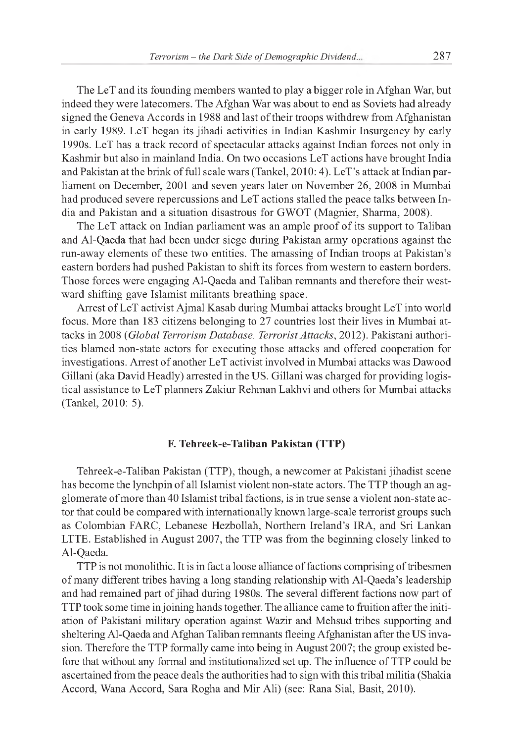The LeT and its founding members wanted to play a bigger role in Afghan War, but indeed they were latecomers. The Afghan War was about to end as Soviets had already signed the Geneva Accords in 1988 and last of their troops withdrew from Afghanistan in early 1989. LeT began its jihadi activities in Indian Kashmir Insurgency by early 1990s. LeT has a track record of spectacular attacks against Indian forces not only in Kashmir but also in mainland India. On two occasions LeT actions have brought India and Pakistan at the brink of full scale wars (Tankel, 2010:4). LeT's attack at Indian parliament on December, 2001 and seven years later on November 26, 2008 in Mumbai had produced severe repercussions and LeT actions stalled the peace talks between India and Pakistan and a situation disastrous for GWOT (Magnier, Sharma, 2008).

The LeT attack on Indian parliament was an ample proof of its support to Taliban and Al-Qaeda that had been under siege during Pakistan army operations against the run-away elements of these two entities. The amassing of Indian troops at Pakistan's eastern borders had pushed Pakistan to shift its forces from western to eastern borders. Those forces were engaging Al-Qaeda and Taliban remnants and therefore their westward shifting gave Islamist militants breathing space.

Arrest of LeT activist Ajmal Kasab during Mumbai attacks brought LeT into world focus. More than 183 citizens belonging to 27 countries lost their lives in Mumbai attacks in 2008 *(Global Terrorism Database. Terrorist Attacks,* 2012). Pakistani authorities blamed non-state actors for executing those attacks and offered cooperation for investigations. Arrest of another LeT activist involved in Mumbai attacks was Dawood Gillani (aka David Headly) arrested in the US. Gillani was charged for providing logistical assistance to LeT planners Zakiur Rehman Lakhvi and others for Mumbai attacks (Tankel, 2010: 5).

### **F. Tehreek-e-Taliban Pakistan (TTP)**

Tehreek-e-Taliban Pakistan (TTP), though, a newcomer at Pakistani jihadist scene has become the lynchpin of all Islamist violent non-state actors. The TTP though an agglomerate of more than 40 Islamist tribal factions, is in true sense a violent non-state actor that could be compared with internationally known large-scale terrorist groups such as Colombian FARC, Lebanese Hezbollah, Northern Ireland's IRA, and Sri Lankan LTTE. Established in August 2007, the TTP was from the beginning closely linked to Al-Qaeda.

TTP is not monolithic. It is in fact a loose alliance of factions comprising of tribesmen of many different tribes having a long standing relationship with Al-Qaeda's leadership and had remained part of jihad during 1980s. The several different factions now part of TTP took some time in joining hands together. The alliance came to fruition after the initiation of Pakistani military operation against Wazir and Mehsud tribes supporting and sheltering Al-Qaeda and Afghan Taliban remnants fleeing Afghanistan after the US invasion. Therefore the TTP formally came into being in August 2007; the group existed before that without any formal and institutionalized set up. The influence of TTP could be ascertained from the peace deals the authorities had to sign with this tribal militia (Shakia Accord, Wana Accord, Sara Rogha and Mir Ali) (see: Rana Sial, Basit, 2010).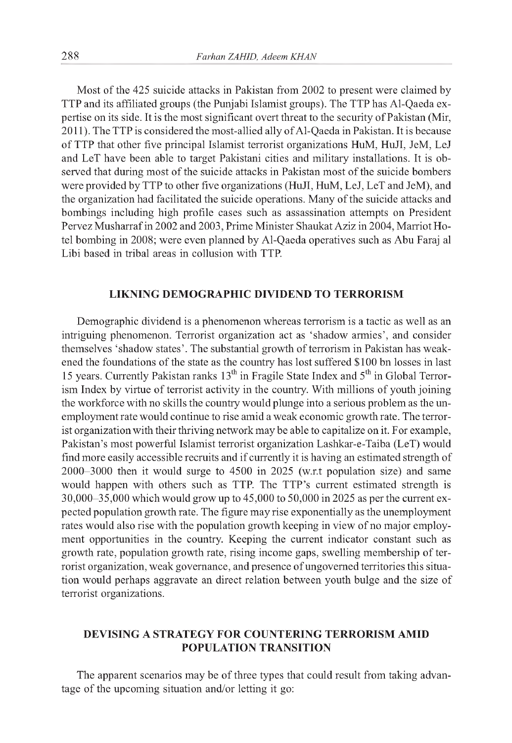Most of the 425 suicide attacks in Pakistan from 2002 to present were claimed by TTP and its affiliated groups (the Punjabi Islamist groups). The TTP has Al-Qaeda expertise on its side. It is the most significant overt threat to the security of Pakistan (Mir, 2011). The TTP is considered the most-allied ally of Al-Qaeda in Pakistan. It is because of TTP that other five principal Islamist terrorist organizations HuM, HuJI, JeM, LeJ and LeT have been able to target Pakistani cities and military installations. It is observed that during most of the suicide attacks in Pakistan most of the suicide bombers were provided by TTP to other five organizations (HuJI, HuM, LeJ, LeT and JeM), and the organization had facilitated the suicide operations. Many of the suicide attacks and bombings including high profile cases such as assassination attempts on President Pervez Musharraf in 2002 and 2003, Prime Minister Shaukat Aziz in 2004, Marriot Hotel bombing in 2008; were even planned by Al-Qaeda operatives such as Abu Faraj al Libi based in tribal areas in collusion with TTP.

## **LIKNING DEMOGRAPHIC DIVIDEND TO TERRORISM**

Demographic dividend is a phenomenon whereas terrorism is a tactic as well as an intriguing phenomenon. Terrorist organization act as 'shadow armies', and consider themselves 'shadow states'. The substantial growth of terrorism in Pakistan has weakened the foundations of the state as the country has lost suffered \$100 bn losses in last 15 years. Currently Pakistan ranks 13<sup>th</sup> in Fragile State Index and 5<sup>th</sup> in Global Terrorism Index by virtue of terrorist activity in the country. With millions of youth joining the workforce with no skills the country would plunge into a serious problem as the unemployment rate would continue to rise amid a weak economic growth rate. The terrorist organization with their thriving network may be able to capitalize on it. For example, Pakistan's most powerful Islamist terrorist organization Lashkar-e-Taiba (LeT) would find more easily accessible recruits and if currently it is having an estimated strength of 2000-3000 then it would surge to 4500 in 2025 (w.r.t population size) and same would happen with others such as TTP. The TTP's current estimated strength is 30,000-35,000 which would grow up to 45,000 to 50,000 in 2025 as per the current expected population growth rate. The figure may rise exponentially as the unemployment rates would also rise with the population growth keeping in view of no major employment opportunities in the country. Keeping the current indicator constant such as growth rate, population growth rate, rising income gaps, swelling membership of terrorist organization, weak governance, and presence of ungoverned territories this situation would perhaps aggravate an direct relation between youth bulge and the size of terrorist organizations.

# **DEVISING A STRATEGY FOR COUNTERING TERRORISM AMID POPULATION TRANSITION**

The apparent scenarios may be of three types that could result from taking advantage of the upcoming situation and/or letting it go: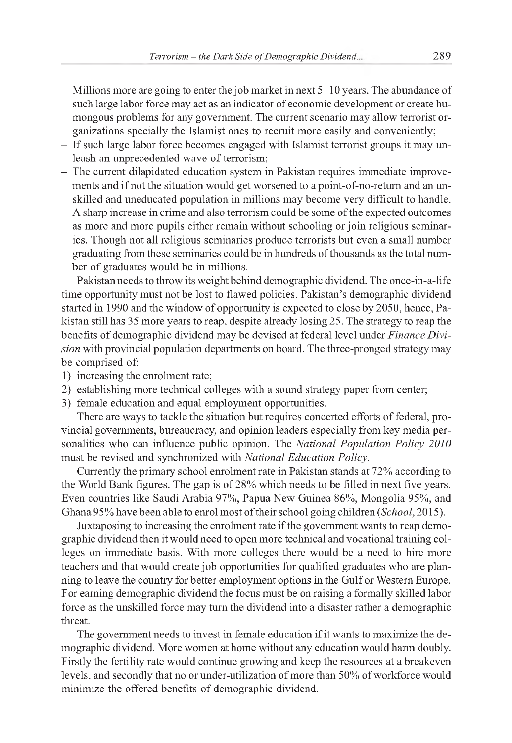- Millions more are going to enter the job market in next 5-10 years. The abundance of such large labor force may act as an indicator of economic development or create humongous problems for any government. The current scenario may allow terrorist organizations specially the Islamist ones to recruit more easily and conveniently;
- If such large labor force becomes engaged with Islamist terrorist groups it may unleash an unprecedented wave of terrorism;
- The current dilapidated education system in Pakistan requires immediate improvements and if not the situation would get worsened to a point-of-no-return and an unskilled and uneducated population in millions may become very difficult to handle. A sharp increase in crime and also terrorism could be some of the expected outcomes as more and more pupils either remain without schooling or join religious seminaries. Though not all religious seminaries produce terrorists but even a small number graduating from these seminaries could be in hundreds of thousands as the total number of graduates would be in millions.

Pakistan needs to throw its weight behind demographic dividend. The once-in-a-life time opportunity must not be lost to flawed policies. Pakistan's demographic dividend started in 1990 and the window of opportunity is expected to close by 2050, hence, Pakistan still has 35 more years to reap, despite already losing 25. The strategy to reap the benefits of demographic dividend may be devised at federal level under *Finance Division* with provincial population departments on board. The three-pronged strategy may be comprised of:

- 1) increasing the enrolment rate;
- 2) establishing more technical colleges with a sound strategy paper from center;
- 3) female education and equal employment opportunities.

There are ways to tackle the situation but requires concerted efforts of federal, provincial governments, bureaucracy, and opinion leaders especially from key media personalities who can influence public opinion. The *National Population Policy 2010* must be revised and synchronized with *National Education Policy.*

Currently the primary school enrolment rate in Pakistan stands at 72% according to the World Bank figures. The gap is of 28% which needs to be filled in next five years. Even countries like Saudi Arabia 97%, Papua New Guinea 86%, Mongolia 95%, and Ghana 95% have been able to enrol most oftheir school going children *(School,* 2015).

Juxtaposing to increasing the enrolment rate if the government wants to reap demographic dividend then it would need to open more technical and vocational training colleges on immediate basis. With more colleges there would be a need to hire more teachers and that would create job opportunities for qualified graduates who are planning to leave the country for better employment options in the Gulf or Western Europe. For earning demographic dividend the focus must be on raising a formally skilled labor force as the unskilled force may turn the dividend into a disaster rather a demographic threat.

The government needs to invest in female education if it wants to maximize the demographic dividend. More women at home without any education would harm doubly. Firstly the fertility rate would continue growing and keep the resources at a breakeven levels, and secondly that no or under-utilization of more than 50% of workforce would minimize the offered benefits of demographic dividend.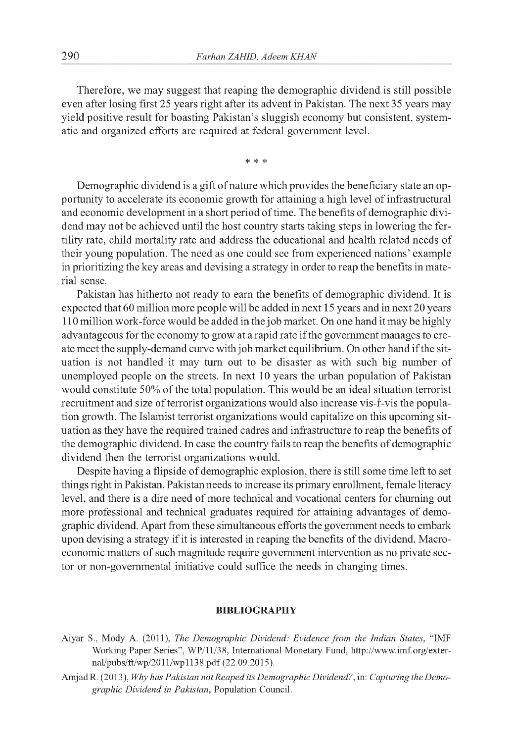Therefore, we may suggest that reaping the demographic dividend is still possible even after losing first 25 years right after its advent in Pakistan. The next 35 years may yield positive result for boasting Pakistan's sluggish economy but consistent, systematic and organized efforts are required at federal government level.

\* \* \*

Demographic dividend is a gift of nature which provides the beneficiary state an opportunity to accelerate its economic growth for attaining a high level of infrastructural and economic development in a short period of time. The benefits of demographic dividend may not be achieved until the host country starts taking steps in lowering the fertility rate, child mortality rate and address the educational and health related needs of their young population. The need as one could see from experienced nations' example in prioritizing the key areas and devising a strategy in order to reap the benefits in material sense.

Pakistan has hitherto not ready to earn the benefits of demographic dividend. It is expected that 60 million more people will be added in next 15 years and in next 20 years 110 million work-force would be added in the job market. On one hand it may be highly advantageous for the economy to grow at a rapid rate if the government manages to create meet the supply-demand curve with job market equilibrium. On other hand if the situation is not handled it may turn out to be disaster as with such big number of unemployed people on the streets. In next 10 years the urban population of Pakistan would constitute 50% of the total population. This would be an ideal situation terrorist recruitment and size of terrorist organizations would also increase vis-r-vis the population growth. The Islamist terrorist organizations would capitalize on this upcoming situation as they have the required trained cadres and infrastructure to reap the benefits of the demographic dividend. In case the country fails to reap the benefits of demographic dividend then the terrorist organizations would.

Despite having a flipside of demographic explosion, there is still some time left to set things right in Pakistan. Pakistan needs to increase its primary enrollment, female literacy level, and there is a dire need of more technical and vocational centers for churning out more professional and technical graduates required for attaining advantages of demographic dividend. Apart from these simultaneous efforts the government needs to embark upon devising a strategy if it is interested in reaping the benefits of the dividend. Macroeconomic matters of such magnitude require government intervention as no private sector or non-governmental initiative could suffice the needs in changing times.

#### **BIBLIOGRAPHY**

- Aiyar S., Mody A. (2011), *The Demographic Dividend: Evidence from the Indian States,* "IMF Working Paper Series", WP/11/38, International Monetary Fund, [http://www.imf.org/exter](http://www.imf.org/exter-)nal/pubs/ft/wp/2011/wp1138.pdf (22.09.2015).
- AmjadR. (2013), *Why has Pakistan not Reaped its Demographic Dividend?*, in: *Capturing the Demographic Dividend in Pakistan,* Population Council.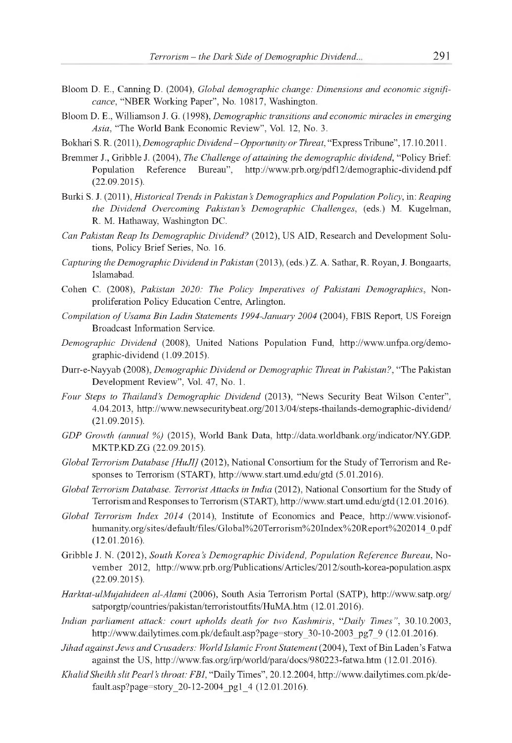- Bloom D. E., Canning D. (2004), *Global demographic change: Dimensions and economic significance,* "NBER Working Paper", No. 10817, Washington.
- Bloom D. E., Williamson J. G. (1998), *Demographic transitions and economic miracles in emerging Asia,* "The World Bank Economic Review", Vol. 12, No. 3.
- Bokhari S. R. (2011), *Demographic Dividend Opportunity or Threat,* "Express Tribune", 17.10.2011.
- Bremmer J., Gribble J. (2004), *The Challenge of attaining the demographic dividend*, "Policy Brief: Population Reference Bureau", <http://www.prb.org/pdf12/demographic-dividend.pdf> (22.09.2015).
- Burki S. J. (2011), *Historical Trends in Pakistan's Demographics and Population Policy,* in: *Reaping the Dividend Overcoming Pakistan s Demographic Challenges*, (eds.) M. Kugelman, R. M. Hathaway, Washington DC.
- *Can Pakistan Reap Its Demographic Dividend?* (2012), US AID, Research and Development Solutions, Policy Brief Series, No. 16.
- *Capturing the Demographic Dividend in Pakistan* (2013), (eds.) Z. A. Sathar, R. Royan, J. Bongaarts, Islamabad.
- Cohen C. (2008), *Pakistan 2020: The Policy Imperatives of Pakistani Demographics*, Nonproliferation Policy Education Centre, Arlington.
- Compilation of Usama Bin Ladin Statements 1994-January 2004 (2004), FBIS Report, US Foreign Broadcast Information Service.
- *Demographic Dividend* (2008), United Nations Population Fund, [http://www.unfpa.org/demo](http://www.unfpa.org/demo-)graphic-dividend (1.09.2015).
- Durr-e-Nayyab (2008), *Demographic Dividend or Demographic Threat in Pakistan?,* "The Pakistan Development Review", Vol. 47, No. 1.
- *Four Steps to Thailand's Demographic Dividend* (2013), "News Security Beat Wilson Center", 4.04.2013, <http://www.newsecuritybeat.org/2013/04/steps-thailands-demographic-dividend/> (21.09.2015).
- *GDP Growth (annual %)* (2015), World Bank Data, <http://data.worldbank.org/indicator/NY.GDP>. MKTP.KD.ZG (22.09.2015).
- *Global Terrorism Database [HuJI]* (2012), National Consortium for the Study of Terrorism and Responses to Terrorism (START), <http://www.start.umd.edu/gtd>(5.01.2016).
- *Global Terrorism Database. Terrorist Attacks in India* (2012), National Consortium for the Study of Terrorism and Responses to Terrorism (START), <http://www.start.umd.edu/gtd>(12.01.2016).
- *Global Terrorism Index 2014* (2014), Institute of Economics and Peace, [http://www.visionof](http://www.visionof-)humanity.org/sites/default/files/Global%20Terrorism%20Index%20Report%202014\_0.pdf (12.01.2016).
- Gribble J. N. (2012), *South Korea's Demographic Dividend, Population Reference Bureau,* November 2012, <http://www.prb.org/Publications/Articles/2012/south-korea-population.aspx> (22.09.2015).
- *Harktat-ulMujahideen al-Alami* (2006), South Asia Terrorism Portal (SATP), <http://www.satp.org/> satporgtp/countries/pakistan/terroristoutfits/HuMA.htm (12.01.2016).
- *Indian parliament attack: court upholds death for two Kashmiris, "Daily Times"*, 30.10.2003, [http://www.dailytimes.com.pk/default.asp?page=story\\_30-10-2003\\_pg7\\_9](http://www.dailytimes.com.pk/default.asp?page=story_30-10-2003_pg7_9) (12.01.2016).
- *Jihad against Jews and Crusaders: World Islamic Front Statement* (2004), Text of Bin Laden's Fatwa against the US, <http://www.fas.org/irp/world/para/docs/980223-fatwa.htm>(12.01.2016).
- *Khalid Sheikh slit Pearl's throat: FBI,* "Daily Times", 20.12.2004, [http://www.dailytimes.com.pk/de](http://www.dailytimes.com.pk/de-)fault.asp?page=story\_20-12-2004\_pg1\_4 (12.01.2016).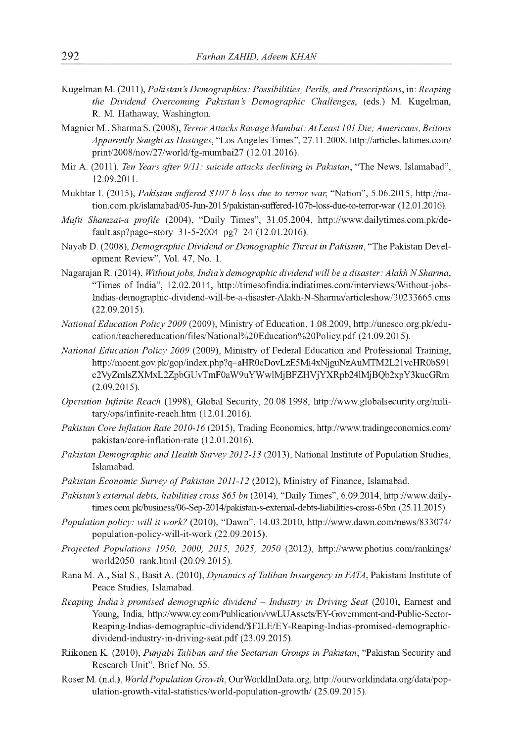- Kugelman M. (2011), *Pakistan's Demographics: Possibilities, Perils, and Prescriptions,* in: *Reaping the Dividend Overcoming Pakistan's Demographic Challenges,* (eds.) M. Kugelman, R. M. Hathaway, Washington.
- MagnierM., SharmaS. (2008), *Terror Attacks Ravage Mumbai: At Least 101 Die; Americans, Britons Apparently Sought as Hostages,* "Los Angeles Times", 27.11.2008, <http://articles.latimes.com/> print/2008/nov/27/world/fg-mumbai27 (12.01.2016).
- Mir A. (2011), *Ten Years after 9/11: suicide attacks declining in Pakistan,* "The News, Islamabad", 12.09.2011.
- Mukhtar I. (2015), *Pakistan suffered \$107 b loss due to terror war,* "Nation", 5.06.2015, [http://na](http://na-)tion.com.pk/islamabad/05-Jun-2015/pakistan-suffered-107b-loss-due-to-terror-war (12.01.2016).
- *Mufti Shamzai-a profile* (2004), "Daily Times", 31.05.2004, [http://www.dailytimes.com.pk/de](http://www.dailytimes.com.pk/de-)fault.asp?page=story\_31-5-2004\_pg7\_24 (12.01.2016).
- Nayab D. (2008), *Demographic Dividend or Demographic Threat in Pakistan*, "The Pakistan Development Review", Vol. 47, No. 1.
- NagarajanR. (2014), *Without jobs, India's demographic dividend will be a disaster: Alakh N Sharma,* "Times of India", 12.02.2014, <http://timesofindia.indiatimes.com/interviews/Without-jobs->Indias-demographic-dividend-will-be-a-disaster-Alakh-N-Sharma/articleshow/30233665.cms (22.09.2015).
- *National Education Policy 2009* (2009), Ministry of Education, 1.08.2009, [http://unesco.org.pk/edu](http://unesco.org.pk/edu-)cation/teachereducation/files/National%20Education%20Policy.pdf (24.09.2015).
- *National Education Policy 2009* (2009), Ministry of Federal Education and Professional Training, <http://moent.gov.pk/gop/index.php?q=aHR0cDovLzE5Mi4xNjguNzAuMTM2L21vcHR0bS91> c2VyZmlsZXMxL2ZpbGUvTmF0aW9uYWwlMjBFZHVjYXRpb24lMjBQb2xpY3kucGRm (2.09.2015).
- *Operation Infinite Reach* (1998), Global Security, 20.08.1998, [http://www.globalsecurity.org/mili](http://www.globalsecurity.org/mili-)tary/ops/infinite-reach.htm (12.01.2016).
- *Pakistan Core Inflation Rate 2010-16* (2015), Trading Economics, <http://www.tradingeconomics.com/> pakistan/core-inflation-rate (12.01.2016).
- *Pakistan Demographic and Health Survey 2012-13* (2013), National Institute of Population Studies, Islamabad.
- Pakistan Economic Survey of Pakistan 2011-12 (2012), Ministry of Finance, Islamabad.
- *Pakistan's external debts, liabilities cross \$65 bn* (2014), "Daily Times", 6.09.2014, [http://www.daily](http://www.daily-)times.com.pk/business/06-Sep-2014/pakistan-s-external-debts-liabilities-cross-65bn (25.11.2015).
- *Population policy: will it work?* (2010), "Dawn", 14.03.2010, <http://www.dawn.com/news/833074/> population-policy-will-it-work (22.09.2015).
- *Projected Populations 1950, 2000, 2015, 2025, 2050* (2012), <http://www.photius.com/rankings/> world2050\_rank.html (20.09.2015).
- Rana M. A., Sial S., Basit A. (2010), *Dynamics of Taliban Insurgency in FATA*, Pakistani Institute of Peace Studies, Islamabad.
- *Reaping India's promised demographic dividend Industry in Driving Seat* (2010), Earnest and Young, India, <http://www.ey.com/Publication/vwLUAssets/EY-Government-and-Public-Sector->Reaping-Indias-demographic-dividend/\$FILE/EY-Reaping-Indias-promised-demographicdividend-industry-in-driving-seat.pdf (23.09.2015).
- Riikonen K. (2010), *Punjabi Taliban and the Sectarian Groups in Pakistan,* "Pakistan Security and Research Unit", Brief No. 55.
- RoserM. (n.d.), *World Population Growth,* OurWorldInData.org, [http://ourworldindata.org/data/pop](http://ourworldindata.org/data/pop-)ulation-growth-vital-statistics/world-population-growth/ (25.09.2015).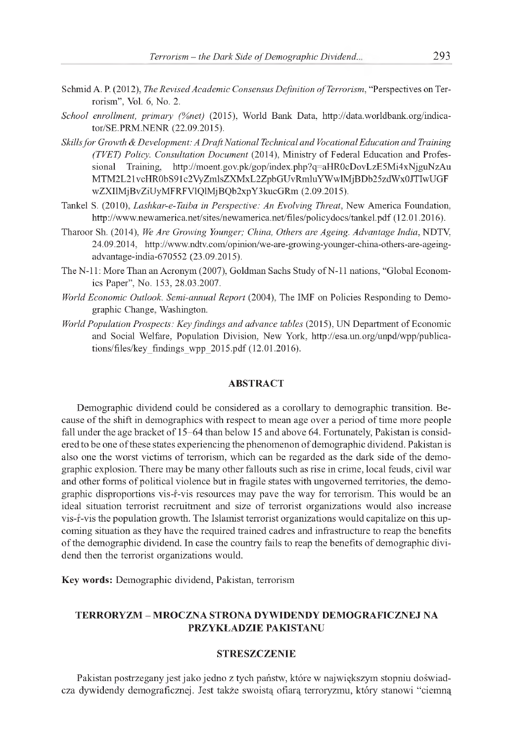- Schmid A. P. (2012), *The Revised Academic Consensus Definition of Terrorism*, "Perspectives on Terrorism", Vol. 6, No. 2.
- *School enrollment, primary (%net)* (2015), World Bank Data, [http://data.worldbank.org/indica](http://data.worldbank.org/indica-)tor/SE.PRM.NENR (22.09.2015).
- *Skillsfor Growth & Development: A Draft National Technical and Vocational Education and Training (TVET) Policy. Consultation Document* (2014), Ministry of Federal Education and Professional Training, <http://moent.gov.pk/gop/index.php?q=aHR0cDovLzE5Mi4xNjguNzAu> MTM2L21vcHR0bS91c2VyZmlsZXMxL2ZpbGUvRmluYWwlMjBDb25zdWx0JTIwUGF wZXIlMjBvZiUyMFRFVlQlMjBQb2xpY3kucGRm (2.09.2015).
- Tankel S. (2010), *Lashkar-e-Taiba in Perspective: An Evolving Threat,* New America Foundation, <http://www.newamerica.net/sites/newamerica.net/files/policydocs/tankel.pdf> (12.01.2016).
- Tharoor Sh. (2014), *We Are Growing Younger; China, Others are Ageing. Advantage India,* NDTV, 24.09.2014, [http://www.ndtv.com/opinion/we-are-growing-younger-china-others-are-ageing](http://www.ndtv.com/opinion/we-are-growing-younger-china-others-are-ageing-)advantage-india-670552 (23.09.2015).
- The N-11: More Than an Acronym (2007), Goldman Sachs Study of N-11 nations, "Global Economics Paper", No. 153, 28.03.2007.
- *World Economic Outlook. Semi-annual Report* (2004), The IMF on Policies Responding to Demographic Change, Washington.
- *World Population Prospects: Key findings and advance tables* (2015), UN Department of Economic and Social Welfare, Population Division, New York, [http://esa.un.org/unpd/wpp/publica](http://esa.un.org/unpd/wpp/publica-)tions/files/key\_findings\_wpp\_2015.pdf  $(12.01.2016)$ .

#### **ABSTRACT**

Demographic dividend could be considered as a corollary to demographic transition. Because of the shift in demographics with respect to mean age over a period of time more people fall under the age bracket of 15-64 than below 15 and above 64. Fortunately, Pakistanis considered to be one of these states experiencing the phenomenon of demographic dividend. Pakistan is also one the worst victims of terrorism, which can be regarded as the dark side of the demographic explosion. There may be many other fallouts such as rise in crime, local feuds, civil war and other forms of political violence but in fragile states with ungoverned territories, the demographic disproportions vis-r-vis resources may pave the way for terrorism. This would be an ideal situation terrorist recruitment and size of terrorist organizations would also increase vis-r-vis the population growth. The Islamist terrorist organizations would capitalize on this upcoming situation as they have the required trained cadres and infrastructure to reap the benefits of the demographic dividend. In case the country fails to reap the benefits of demographic dividend then the terrorist organizations would.

**Key words:** Demographic dividend, Pakistan, terrorism

## **TERRORYZM - MROCZNA STRONA DYWIDENDY DEMOGRAFICZNEJ NA PRZYKŁADZIE PAKISTANU**

#### **STRESZCZENIE**

Pakistan postrzegany jest jako jedno z tych państw, które w największym stopniu doświadcza dywidendy demograficznej. Jest także swoistą ofiarą terroryzmu, który stanowi "ciemną